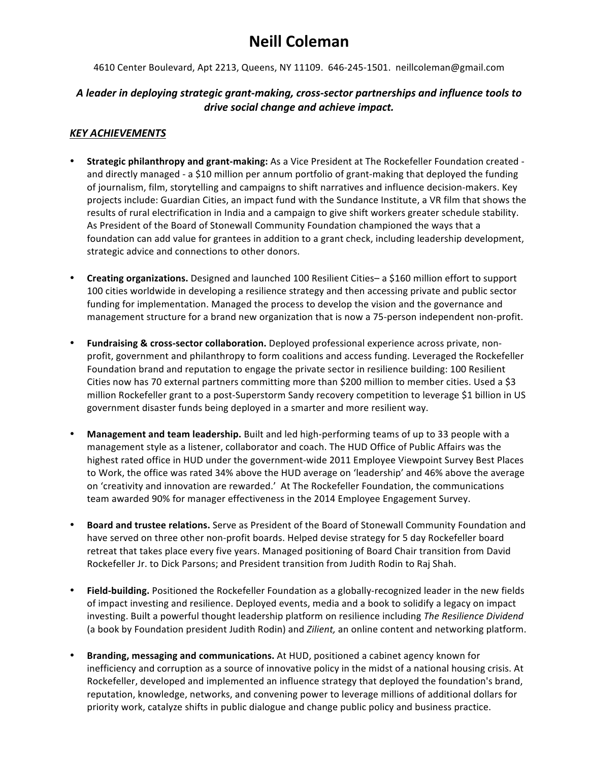# **Neill Coleman**

4610 Center Boulevard, Apt 2213, Queens, NY 11109. 646-245-1501. neillcoleman@gmail.com

#### A leader in deploying strategic grant-making, cross-sector partnerships and influence tools to *drive social change and achieve impact.*

#### *KEY ACHIEVEMENTS*

- **Strategic philanthropy and grant-making:** As a Vice President at The Rockefeller Foundation created and directly managed - a \$10 million per annum portfolio of grant-making that deployed the funding of journalism, film, storytelling and campaigns to shift narratives and influence decision-makers. Key projects include: Guardian Cities, an impact fund with the Sundance Institute, a VR film that shows the results of rural electrification in India and a campaign to give shift workers greater schedule stability. As President of the Board of Stonewall Community Foundation championed the ways that a foundation can add value for grantees in addition to a grant check, including leadership development, strategic advice and connections to other donors.
- **Creating organizations.** Designed and launched 100 Resilient Cities– a \$160 million effort to support 100 cities worldwide in developing a resilience strategy and then accessing private and public sector funding for implementation. Managed the process to develop the vision and the governance and management structure for a brand new organization that is now a 75-person independent non-profit.
- Fundraising & cross-sector collaboration. Deployed professional experience across private, nonprofit, government and philanthropy to form coalitions and access funding. Leveraged the Rockefeller Foundation brand and reputation to engage the private sector in resilience building: 100 Resilient Cities now has 70 external partners committing more than \$200 million to member cities. Used a \$3 million Rockefeller grant to a post-Superstorm Sandy recovery competition to leverage \$1 billion in US government disaster funds being deployed in a smarter and more resilient way.
- **Management and team leadership.** Built and led high-performing teams of up to 33 people with a management style as a listener, collaborator and coach. The HUD Office of Public Affairs was the highest rated office in HUD under the government-wide 2011 Employee Viewpoint Survey Best Places to Work, the office was rated 34% above the HUD average on 'leadership' and 46% above the average on 'creativity and innovation are rewarded.' At The Rockefeller Foundation, the communications team awarded 90% for manager effectiveness in the 2014 Employee Engagement Survey.
- **Board and trustee relations.** Serve as President of the Board of Stonewall Community Foundation and have served on three other non-profit boards. Helped devise strategy for 5 day Rockefeller board retreat that takes place every five years. Managed positioning of Board Chair transition from David Rockefeller Jr. to Dick Parsons; and President transition from Judith Rodin to Raj Shah.
- Field-building. Positioned the Rockefeller Foundation as a globally-recognized leader in the new fields of impact investing and resilience. Deployed events, media and a book to solidify a legacy on impact investing. Built a powerful thought leadership platform on resilience including *The Resilience Dividend* (a book by Foundation president Judith Rodin) and *Zilient*, an online content and networking platform.
- **Branding, messaging and communications.** At HUD, positioned a cabinet agency known for inefficiency and corruption as a source of innovative policy in the midst of a national housing crisis. At Rockefeller, developed and implemented an influence strategy that deployed the foundation's brand, reputation, knowledge, networks, and convening power to leverage millions of additional dollars for priority work, catalyze shifts in public dialogue and change public policy and business practice.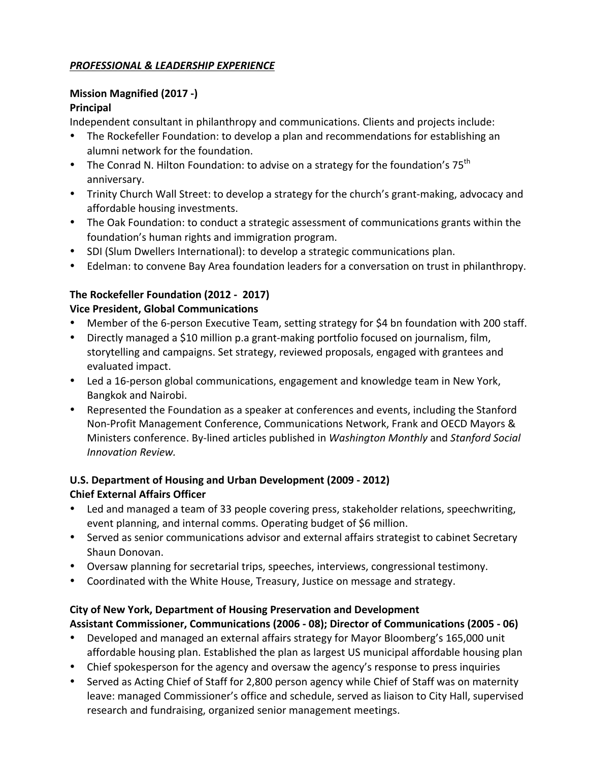## *PROFESSIONAL & LEADERSHIP EXPERIENCE*

# **Mission Magnified (2017 -)**

# **Principal**

Independent consultant in philanthropy and communications. Clients and projects include:

- The Rockefeller Foundation: to develop a plan and recommendations for establishing an alumni network for the foundation.
- The Conrad N. Hilton Foundation: to advise on a strategy for the foundation's  $75^{th}$ anniversary.
- Trinity Church Wall Street: to develop a strategy for the church's grant-making, advocacy and affordable housing investments.
- The Oak Foundation: to conduct a strategic assessment of communications grants within the foundation's human rights and immigration program.
- SDI (Slum Dwellers International): to develop a strategic communications plan.
- Edelman: to convene Bay Area foundation leaders for a conversation on trust in philanthropy.

# **The Rockefeller Foundation (2012 - 2017)**

## **Vice President, Global Communications**

- Member of the 6-person Executive Team, setting strategy for \$4 bn foundation with 200 staff.
- Directly managed a \$10 million p.a grant-making portfolio focused on journalism, film, storytelling and campaigns. Set strategy, reviewed proposals, engaged with grantees and evaluated impact.
- Led a 16-person global communications, engagement and knowledge team in New York, Bangkok and Nairobi.
- Represented the Foundation as a speaker at conferences and events, including the Stanford Non-Profit Management Conference, Communications Network, Frank and OECD Mayors & Ministers conference. By-lined articles published in *Washington Monthly* and *Stanford Social Innovation Review.*

## **U.S. Department of Housing and Urban Development (2009 - 2012) Chief External Affairs Officer**

- Led and managed a team of 33 people covering press, stakeholder relations, speechwriting, event planning, and internal comms. Operating budget of \$6 million.
- Served as senior communications advisor and external affairs strategist to cabinet Secretary Shaun Donovan.
- Oversaw planning for secretarial trips, speeches, interviews, congressional testimony.
- Coordinated with the White House, Treasury, Justice on message and strategy.

#### **City of New York, Department of Housing Preservation and Development Assistant Commissioner, Communications (2006 - 08); Director of Communications (2005 - 06)**

- Developed and managed an external affairs strategy for Mayor Bloomberg's 165,000 unit affordable housing plan. Established the plan as largest US municipal affordable housing plan
- Chief spokesperson for the agency and oversaw the agency's response to press inquiries
- Served as Acting Chief of Staff for 2,800 person agency while Chief of Staff was on maternity leave: managed Commissioner's office and schedule, served as liaison to City Hall, supervised research and fundraising, organized senior management meetings.